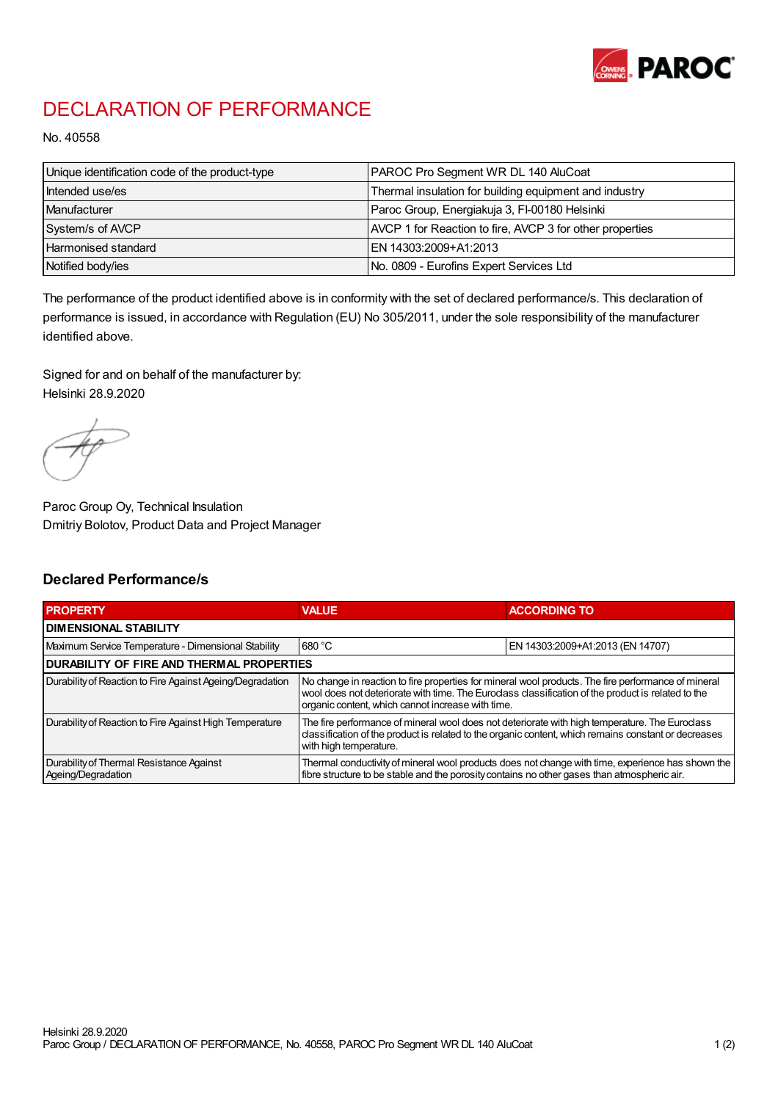

## DECLARATION OF PERFORMANCE

No. 40558

| Unique identification code of the product-type | PAROC Pro Segment WR DL 140 AluCoat                      |
|------------------------------------------------|----------------------------------------------------------|
| Intended use/es                                | Thermal insulation for building equipment and industry   |
| Manufacturer                                   | Paroc Group, Energiakuja 3, FI-00180 Helsinki            |
| System/s of AVCP                               | AVCP 1 for Reaction to fire, AVCP 3 for other properties |
| Harmonised standard                            | IEN 14303:2009+A1:2013                                   |
| Notified body/ies                              | No. 0809 - Eurofins Expert Services Ltd                  |

The performance of the product identified above is in conformity with the set of declared performance/s. This declaration of performance is issued, in accordance with Regulation (EU) No 305/2011, under the sole responsibility of the manufacturer identified above.

Signed for and on behalf of the manufacturer by: Helsinki 28.9.2020

Paroc Group Oy, Technical Insulation Dmitriy Bolotov, Product Data and Project Manager

## Declared Performance/s

| <b>PROPERTY</b>                                                | <b>VALUE</b>                                                                                                                                                                                                                                                   | <b>ACCORDING TO.</b>             |  |
|----------------------------------------------------------------|----------------------------------------------------------------------------------------------------------------------------------------------------------------------------------------------------------------------------------------------------------------|----------------------------------|--|
| <b>DIMENSIONAL STABILITY</b>                                   |                                                                                                                                                                                                                                                                |                                  |  |
| Maximum Service Temperature - Dimensional Stability            | 680 °C                                                                                                                                                                                                                                                         | EN 14303:2009+A1:2013 (EN 14707) |  |
| <b>DURABILITY OF FIRE AND THERMAL PROPERTIES</b>               |                                                                                                                                                                                                                                                                |                                  |  |
| Durability of Reaction to Fire Against Ageing/Degradation      | No change in reaction to fire properties for mineral wool products. The fire performance of mineral<br>wool does not deteriorate with time. The Euroclass classification of the product is related to the<br>organic content, which cannot increase with time. |                                  |  |
| Durability of Reaction to Fire Against High Temperature        | The fire performance of mineral wool does not deteriorate with high temperature. The Euroclass<br>classification of the product is related to the organic content, which remains constant or decreases<br>with high temperature.                               |                                  |  |
| Durability of Thermal Resistance Against<br>Ageing/Degradation | Thermal conductivity of mineral wool products does not change with time, experience has shown the<br>fibre structure to be stable and the porosity contains no other gases than atmospheric air.                                                               |                                  |  |